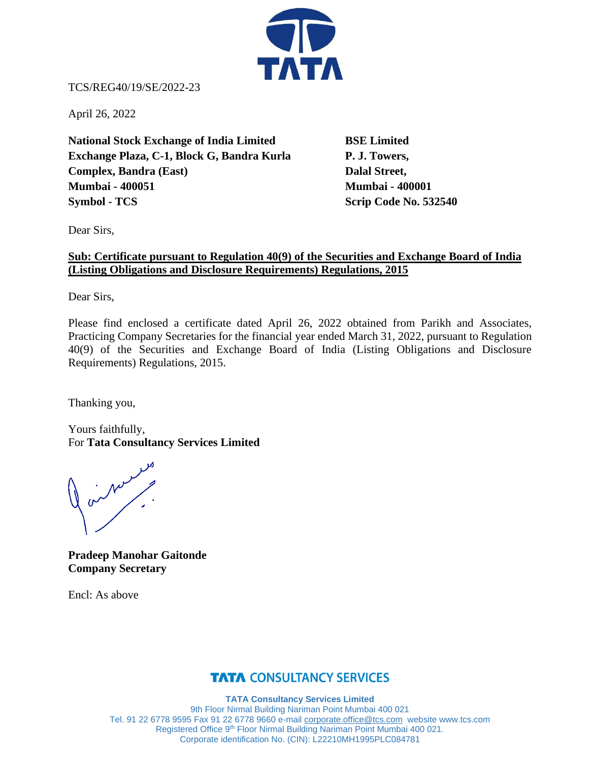

TCS/REG40/19/SE/2022-23

April 26, 2022

**National Stock Exchange of India Limited BSE Limited Exchange Plaza, C-1, Block G, Bandra Kurla P. J. Towers, Complex, Bandra (East)** Dalal Street, **Mumbai - 400051 Mumbai - 400001 Symbol - TCS** Scrip Code No. 532540

Dear Sirs,

## **Sub: Certificate pursuant to Regulation 40(9) of the Securities and Exchange Board of India (Listing Obligations and Disclosure Requirements) Regulations, 2015**

Dear Sirs,

Please find enclosed a certificate dated April 26, 2022 obtained from Parikh and Associates, Practicing Company Secretaries for the financial year ended March 31, 2022, pursuant to Regulation 40(9) of the Securities and Exchange Board of India (Listing Obligations and Disclosure Requirements) Regulations, 2015.

Thanking you,

Yours faithfully, For **Tata Consultancy Services Limited**

on Number

**Pradeep Manohar Gaitonde Company Secretary**

Encl: As above

## **TATA CONSULTANCY SERVICES**

**TATA Consultancy Services Limited** 9th Floor Nirmal Building Nariman Point Mumbai 400 021 Tel. 91 22 6778 9595 Fax 91 22 6778 9660 e-mail [corporate.office@tcs.com](mailto:corporate.office@tcs.com) website www.tcs.com Registered Office 9<sup>th</sup> Floor Nirmal Building Nariman Point Mumbai 400 021. Corporate identification No. (CIN): L22210MH1995PLC084781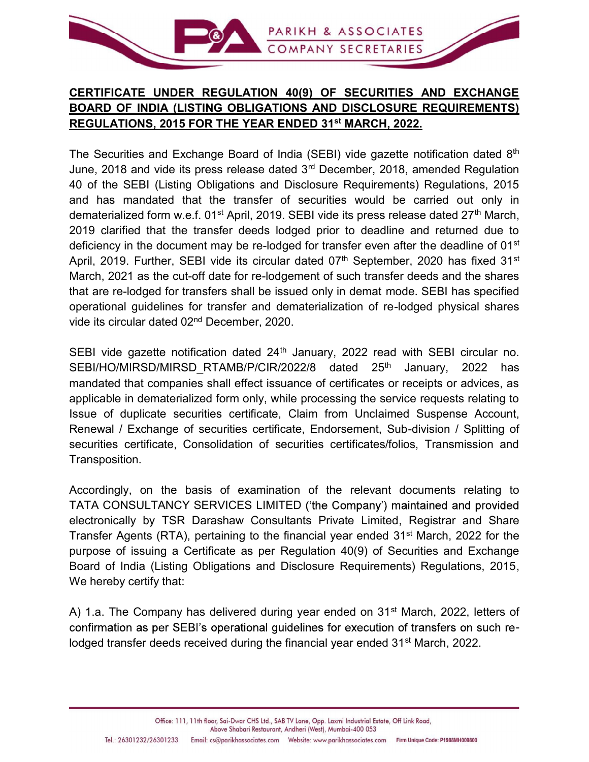

## CERTIFICATE UNDER REGULATION 40(9) OF SECURITIES AND EXCHANGE BOARD OF INDIA (LISTING OBLIGATIONS AND DISCLOSURE REQUIREMENTS) REGULATIONS, 2015 FOR THE YEAR ENDED 31st MARCH, 2022.

The Securities and Exchange Board of India (SEBI) vide gazette notification dated 8<sup>th</sup> June, 2018 and vide its press release dated 3<sup>rd</sup> December, 2018, amended Regulation 40 of the SEBI (Listing Obligations and Disclosure Requirements) Regulations, 2015 and has mandated that the transfer of securities would be carried out only in dematerialized form w.e.f.  $01^{st}$  April, 2019. SEBI vide its press release dated  $27^{th}$  March, 2019 clarified that the transfer deeds lodged prior to deadline and returned due to deficiency in the document may be re-lodged for transfer even after the deadline of 01<sup>st</sup> April, 2019. Further, SEBI vide its circular dated  $07<sup>th</sup>$  September, 2020 has fixed 31<sup>st</sup> March, 2021 as the cut-off date for re-lodgement of such transfer deeds and the shares that are re-lodged for transfers shall be issued only in demat mode. SEBI has specified operational guidelines for transfer and dematerialization of re-lodged physical shares vide its circular dated 02nd December, 2020.

SEBI vide gazette notification dated  $24<sup>th</sup>$  January, 2022 read with SEBI circular no. SEBI/HO/MIRSD/MIRSD\_RTAMB/P/CIR/2022/8 dated 25<sup>th</sup> January, 2022 has mandated that companies shall effect issuance of certificates or receipts or advices, as applicable in dematerialized form only, while processing the service requests relating to Issue of duplicate securities certificate, Claim from Unclaimed Suspense Account, Renewal / Exchange of securities certificate, Endorsement, Sub-division / Splitting of securities certificate, Consolidation of securities certificates/folios, Transmission and Transposition.

Accordingly, on the basis of examination of the relevant documents relating to TATA CONSULTANCY SERVICES LIMITED ('the Company') maintained and provided electronically by TSR Darashaw Consultants Private Limited, Registrar and Share Transfer Agents (RTA), pertaining to the financial year ended 31st March, 2022 for the purpose of issuing a Certificate as per Regulation 40(9) of Securities and Exchange Board of India (Listing Obligations and Disclosure Requirements) Regulations, 2015, We hereby certify that:

A) 1.a. The Company has delivered during year ended on  $31<sup>st</sup>$  March, 2022, letters of confirmation as per SEBI's operational guidelines for execution of transfers on such relodged transfer deeds received during the financial year ended 31<sup>st</sup> March, 2022.